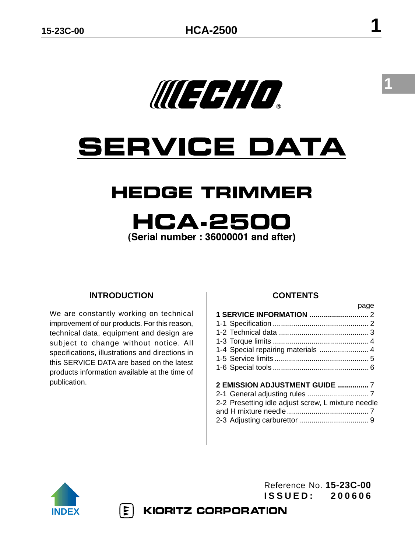WEEH O

# **SERVICE DATA**

# **HEDGE TRIMMER**

# **HCA-250** (Serial number: 36000001 and after)

# **lNTRODUCTION**

We are constantly working on technical improvement of our products. For this reason, technical data, equipment and design are subject to change without notice. All specifications, illustrations and directions in this SERVICE DATA are based on the latest products information available at the time of publication.

 $|\Xi|$ 

# **CONTENTS**

|                                                    | page |
|----------------------------------------------------|------|
|                                                    |      |
|                                                    |      |
|                                                    |      |
|                                                    |      |
| 1-4 Special repairing materials  4                 |      |
|                                                    |      |
|                                                    |      |
|                                                    |      |
|                                                    |      |
| 2-2 Presetting idle adjust screw, L mixture needle |      |
|                                                    |      |
|                                                    |      |
|                                                    |      |



Reference No. **15-23C-00 ISSUED: 200606**

**KIORITZ CORPORATION** 

**1**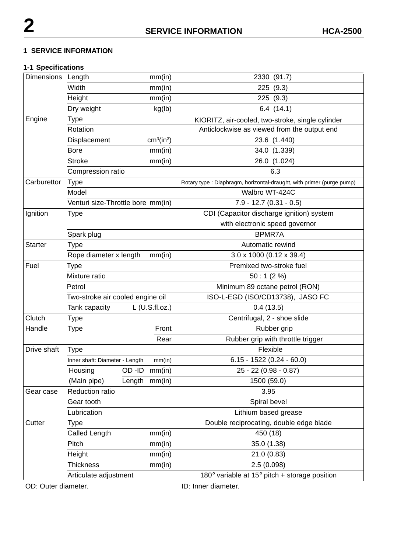#### **1 SERVICE INFORMATION**

# **1-1 Specifications**

| Dimensions Length |                                   |               | mm(in)                             | 2330 (91.7)                                                          |  |
|-------------------|-----------------------------------|---------------|------------------------------------|----------------------------------------------------------------------|--|
|                   | Width                             |               | mm(in)                             | 225 (9.3)                                                            |  |
|                   | Height                            |               | mm(in)                             | 225 (9.3)                                                            |  |
|                   | Dry weight                        |               | kg(lb)                             | 6.4(14.1)                                                            |  |
| Engine            | Type                              |               |                                    | KIORITZ, air-cooled, two-stroke, single cylinder                     |  |
|                   | Rotation                          |               |                                    | Anticlockwise as viewed from the output end                          |  |
|                   | Displacement                      |               | cm <sup>3</sup> (in <sup>3</sup> ) | 23.6 (1.440)                                                         |  |
|                   | <b>Bore</b>                       |               | mm(in)                             | 34.0 (1.339)                                                         |  |
|                   | <b>Stroke</b>                     |               | mm(in)                             | 26.0 (1.024)                                                         |  |
|                   | Compression ratio                 |               |                                    | 6.3                                                                  |  |
| Carburettor       | <b>Type</b>                       |               |                                    | Rotary type: Diaphragm, horizontal-draught, with primer (purge pump) |  |
|                   | Model                             |               |                                    | Walbro WT-424C                                                       |  |
|                   | Venturi size-Throttle bore mm(in) |               |                                    | $7.9 - 12.7(0.31 - 0.5)$                                             |  |
| Ignition          | <b>Type</b>                       |               |                                    | CDI (Capacitor discharge ignition) system                            |  |
|                   |                                   |               |                                    | with electronic speed governor                                       |  |
|                   | Spark plug                        |               |                                    | BPMR7A                                                               |  |
| <b>Starter</b>    | <b>Type</b>                       |               |                                    | Automatic rewind                                                     |  |
|                   | Rope diameter x length            |               | mm(in)                             | $3.0 \times 1000$ (0.12 x 39.4)                                      |  |
| Fuel              | Type                              |               |                                    | Premixed two-stroke fuel                                             |  |
|                   | Mixture ratio                     |               |                                    | 50:1(2%)                                                             |  |
|                   | Petrol                            |               |                                    | Minimum 89 octane petrol (RON)                                       |  |
|                   | Two-stroke air cooled engine oil  |               |                                    | ISO-L-EGD (ISO/CD13738), JASO FC                                     |  |
|                   | Tank capacity                     |               | L (U.S.fl.oz.)                     | 0.4(13.5)                                                            |  |
| Clutch            | <b>Type</b>                       |               |                                    | Centrifugal, 2 - shoe slide                                          |  |
| Handle            | <b>Type</b>                       |               | Front                              | Rubber grip                                                          |  |
|                   |                                   |               | Rear                               | Rubber grip with throttle trigger                                    |  |
| Drive shaft       | <b>Type</b>                       |               |                                    | Flexible                                                             |  |
|                   | Inner shaft: Diameter - Length    |               | mm(in)                             | $6.15 - 1522(0.24 - 60.0)$                                           |  |
|                   | Housing                           | OD-ID         | mm(in)                             | 25 - 22 (0.98 - 0.87)                                                |  |
|                   | (Main pipe)                       | Length mm(in) |                                    | 1500 (59.0)                                                          |  |
| Gear case         | Reduction ratio                   |               |                                    | 3.95                                                                 |  |
|                   | Gear tooth                        |               |                                    | Spiral bevel                                                         |  |
|                   | Lubrication                       |               |                                    | Lithium based grease                                                 |  |
| Cutter            | <b>Type</b>                       |               |                                    | Double reciprocating, double edge blade                              |  |
|                   | Called Length                     |               | mm(in)                             | 450 (18)                                                             |  |
|                   | Pitch                             |               | mm(in)                             | 35.0 (1.38)                                                          |  |
|                   | Height                            |               | mm(in)                             | 21.0(0.83)                                                           |  |
|                   | <b>Thickness</b>                  |               | mm(in)                             | 2.5(0.098)                                                           |  |
|                   | Articulate adjustment             |               |                                    | 180 $^{\circ}$ variable at 15 $^{\circ}$ pitch + storage position    |  |

OD: Outer diameter. **ID: Inner diameter.**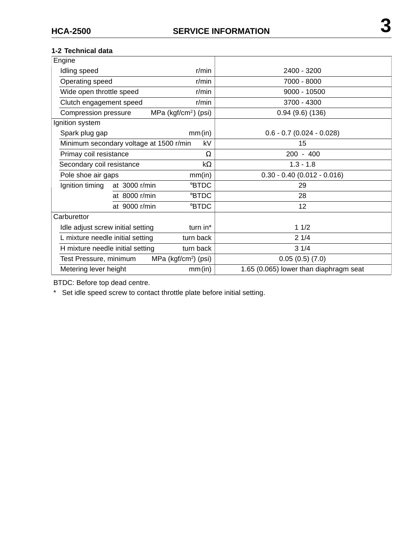| Engine                                                     |                                         |                                  |                                        |  |
|------------------------------------------------------------|-----------------------------------------|----------------------------------|----------------------------------------|--|
| Idling speed                                               |                                         | r/min                            | 2400 - 3200                            |  |
| Operating speed                                            |                                         | r/min                            | 7000 - 8000                            |  |
| Wide open throttle speed                                   |                                         | $r/m$ in                         | $9000 - 10500$                         |  |
| Clutch engagement speed                                    |                                         | r/min                            | 3700 - 4300                            |  |
| Compression pressure                                       |                                         | MPa (kgf/cm <sup>2</sup> ) (psi) | 0.94(9.6)(136)                         |  |
| Ignition system                                            |                                         |                                  |                                        |  |
| Spark plug gap                                             |                                         | mm(in)                           | $0.6 - 0.7$ (0.024 - 0.028)            |  |
|                                                            | Minimum secondary voltage at 1500 r/min | kV                               | 15                                     |  |
| Primay coil resistance                                     |                                         | Ω                                | $200 - 400$                            |  |
| Secondary coil resistance                                  |                                         | $k\Omega$                        | $1.3 - 1.8$                            |  |
| Pole shoe air gaps                                         |                                         | mm(in)                           | $0.30 - 0.40$ (0.012 - 0.016)          |  |
| Ignition timing<br>at 3000 r/min                           |                                         | <b>BTDC</b>                      | 29                                     |  |
|                                                            | at 8000 r/min                           | <b>BTDC</b>                      | 28                                     |  |
| at 9000 r/min                                              |                                         | <b>BTDC</b>                      | 12                                     |  |
| Carburettor                                                |                                         |                                  |                                        |  |
| Idle adjust screw initial setting<br>turn in*              |                                         |                                  | 11/2                                   |  |
| turn back<br>L mixture needle initial setting              |                                         |                                  | 21/4                                   |  |
| turn back<br>H mixture needle initial setting              |                                         |                                  | 31/4                                   |  |
| MPa (kgf/cm <sup>2</sup> ) (psi)<br>Test Pressure, minimum |                                         |                                  | 0.05(0.5)(7.0)                         |  |
| Metering lever height<br>mm(in)                            |                                         |                                  | 1.65 (0.065) lower than diaphragm seat |  |
|                                                            |                                         |                                  |                                        |  |

BTDC: Before top dead centre.

\* Set idle speed screw to contact throttle plate before initial setting.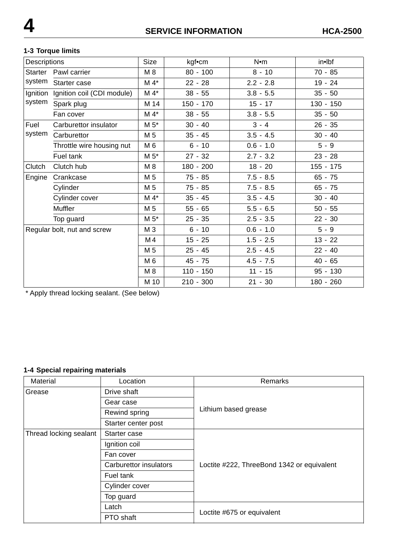#### **1-3 Torque limits**

| Descriptions |                             | Size           | kgf•cm      | N•m         | in•lbf      |
|--------------|-----------------------------|----------------|-------------|-------------|-------------|
| Starter      | Pawl carrier                | M 8            | $80 - 100$  | $8 - 10$    | $70 - 85$   |
| system       | Starter case                | $M 4*$         | $22 - 28$   | $2.2 - 2.8$ | $19 - 24$   |
| Ignition     | Ignition coil (CDI module)  | $M 4*$         | $38 - 55$   | $3.8 - 5.5$ | $35 - 50$   |
| system       | Spark plug                  | M 14           | $150 - 170$ | $15 - 17$   | 130 - 150   |
|              | Fan cover                   | $M 4*$         | $38 - 55$   | $3.8 - 5.5$ | $35 - 50$   |
| Fuel         | Carburettor insulator       | $M 5^*$        | $30 - 40$   | $3 - 4$     | $26 - 35$   |
| system       | Carburettor                 | M 5            | $35 - 45$   | $3.5 - 4.5$ | $30 - 40$   |
|              | Throttle wire housing nut   | M <sub>6</sub> | $6 - 10$    | $0.6 - 1.0$ | $5 - 9$     |
|              | Fuel tank                   | $M 5*$         | $27 - 32$   | $2.7 - 3.2$ | $23 - 28$   |
| Clutch       | Clutch hub                  | M 8            | $180 - 200$ | $18 - 20$   | $155 - 175$ |
| Engine       | Crankcase                   | M 5            | $75 - 85$   | $7.5 - 8.5$ | $65 - 75$   |
|              | Cylinder                    | M 5            | $75 - 85$   | $7.5 - 8.5$ | $65 - 75$   |
|              | Cylinder cover              | $M 4*$         | $35 - 45$   | $3.5 - 4.5$ | $30 - 40$   |
|              | Muffler                     | M 5            | $55 - 65$   | $5.5 - 6.5$ | $50 - 55$   |
| Top guard    |                             | $M 5^*$        | $25 - 35$   | $2.5 - 3.5$ | $22 - 30$   |
|              | Regular bolt, nut and screw | M 3            | $6 - 10$    | $0.6 - 1.0$ | $5 - 9$     |
|              |                             | M4             | $15 - 25$   | $1.5 - 2.5$ | $13 - 22$   |
|              |                             | M 5            | $25 - 45$   | $2.5 - 4.5$ | $22 - 40$   |
|              |                             | M 6            | $45 - 75$   | $4.5 - 7.5$ | $40 - 65$   |
|              |                             | M 8            | $110 - 150$ | $11 - 15$   | $95 - 130$  |
|              |                             | M 10           | $210 - 300$ | $21 - 30$   | 180 - 260   |

\* Apply thread locking sealant. (See below)

# **1-4 Special repairing materials**

| Material               | Location               | Remarks                                    |  |
|------------------------|------------------------|--------------------------------------------|--|
| Grease                 | Drive shaft            |                                            |  |
|                        | Gear case              |                                            |  |
|                        | Rewind spring          | Lithium based grease                       |  |
|                        | Starter center post    |                                            |  |
| Thread locking sealant | Starter case           |                                            |  |
|                        | Ignition coil          |                                            |  |
|                        | Fan cover              |                                            |  |
|                        | Carburettor insulators | Loctite #222, ThreeBond 1342 or equivalent |  |
|                        | Fuel tank              |                                            |  |
|                        | Cylinder cover         |                                            |  |
|                        | Top guard              |                                            |  |
|                        | Latch                  |                                            |  |
|                        | PTO shaft              | Loctite #675 or equivalent                 |  |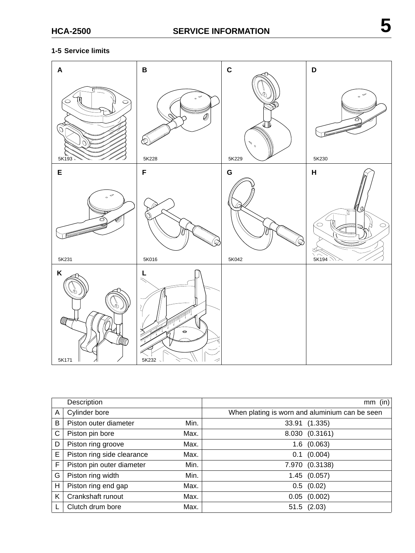#### **1-5 Service limits**

| $\boldsymbol{\mathsf{A}}$            | $\, {\bf B}$                                         | $\mathbf C$                                                             | D                                               |
|--------------------------------------|------------------------------------------------------|-------------------------------------------------------------------------|-------------------------------------------------|
| ᡕ<br>V<br>$\circ$<br>O<br>O<br>5K193 | $\sim$<br>* Ø<br><b>Accountability</b><br>◈<br>5K228 | لآگ}<br>$\mathcal{N}$ $_{\circ}$<br>5K229                               | $_{\circ}$ $\hspace{0.1cm}\sigma$<br>○<br>5K230 |
| E                                    | F                                                    | ${\bf G}$                                                               | H                                               |
| ᢦ<br>$\circ$<br>c<br>5K231           | <b>THRANGERY</b><br><b>Report Follows</b><br>5K016   | <b>RAMARABAS</b><br><b>REGISTER CONTROLLER</b><br>$\mathbb{Q}$<br>5K042 | Θ.<br>त<br>$\circ$<br>$\circ$<br>5K194          |
| K<br>Ø<br>Ø<br>MMAG<br>5K171         | L<br>$\bullet$<br>5K232                              |                                                                         |                                                 |

|   | Description                |      | (in)<br>mm                                     |
|---|----------------------------|------|------------------------------------------------|
| A | Cylinder bore              |      | When plating is worn and aluminium can be seen |
| B | Piston outer diameter      | Min. | 33.91 (1.335)                                  |
| С | Piston pin bore            | Max. | 8.030 (0.3161)                                 |
| D | Piston ring groove         | Max. | (0.063)<br>1.6                                 |
| E | Piston ring side clearance | Max. | (0.004)<br>0.1                                 |
| F | Piston pin outer diameter  | Min. | 7.970 (0.3138)                                 |
| G | Piston ring width          | Min. | 1.45(0.057)                                    |
| н | Piston ring end gap        | Max. | $0.5$ $(0.02)$                                 |
| Κ | Crankshaft runout          | Max. | (0.002)<br>0.05                                |
|   | Clutch drum bore           | Max. | $51.5$ $(2.03)$                                |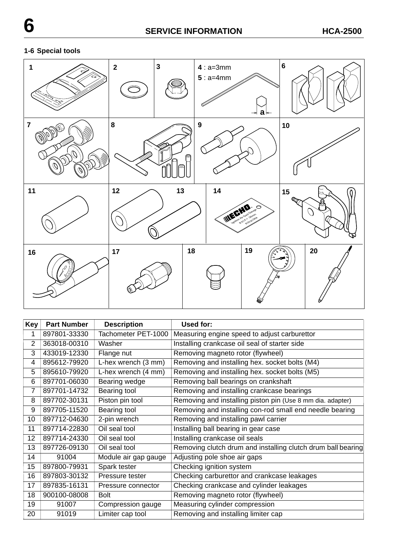# **1-6 Special tools**



| Key | <b>Part Number</b> | <b>Description</b>   | Used for:                                                    |
|-----|--------------------|----------------------|--------------------------------------------------------------|
| 1   | 897801-33330       | Tachometer PET-1000  | Measuring engine speed to adjust carburettor                 |
| 2   | 363018-00310       | Washer               | Installing crankcase oil seal of starter side                |
| 3   | 433019-12330       | Flange nut           | Removing magneto rotor (flywheel)                            |
| 4   | 895612-79920       | L-hex wrench (3 mm)  | Removing and installing hex. socket bolts (M4)               |
| 5   | 895610-79920       | L-hex wrench (4 mm)  | Removing and installing hex. socket bolts (M5)               |
| 6   | 897701-06030       | Bearing wedge        | Removing ball bearings on crankshaft                         |
| 7   | 897701-14732       | Bearing tool         | Removing and installing crankcase bearings                   |
| 8   | 897702-30131       | Piston pin tool      | Removing and installing piston pin (Use 8 mm dia. adapter)   |
| 9   | 897705-11520       | Bearing tool         | Removing and installing con-rod small end needle bearing     |
| 10  | 897712-04630       | 2-pin wrench         | Removing and installing pawl carrier                         |
| 11  | 897714-22830       | Oil seal tool        | Installing ball bearing in gear case                         |
| 12  | 897714-24330       | Oil seal tool        | Installing crankcase oil seals                               |
| 13  | 897726-09130       | Oil seal tool        | Removing clutch drum and installing clutch drum ball bearing |
| 14  | 91004              | Module air gap gauge | Adjusting pole shoe air gaps                                 |
| 15  | 897800-79931       | Spark tester         | Checking ignition system                                     |
| 16  | 897803-30132       | Pressure tester      | Checking carburettor and crankcase leakages                  |
| 17  | 897835-16131       | Pressure connector   | Checking crankcase and cylinder leakages                     |
| 18  | 900100-08008       | <b>Bolt</b>          | Removing magneto rotor (flywheel)                            |
| 19  | 91007              | Compression gauge    | Measuring cylinder compression                               |
| 20  | 91019              | Limiter cap tool     | Removing and installing limiter cap                          |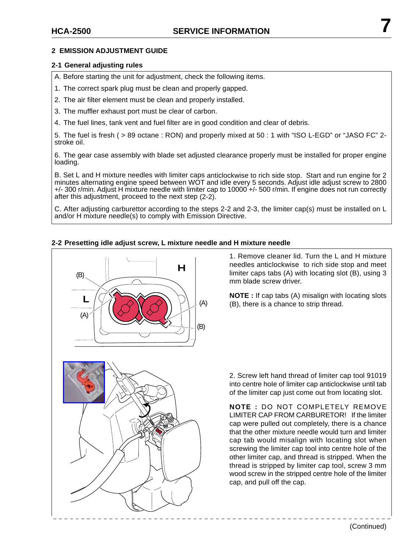#### **2-1 General adjusting rules**

A. Before starting the unit for adjustment, check the following items.

- 1. The correct spark plug must be clean and properly gapped.
- 2. The air filter element must be clean and properly installed.
- 3. The muffler exhaust port must be clear of carbon.
- 4. The fuel lines, tank vent and fuel filter are in good condition and clear of debris.

5. The fuel is fresh ( > 89 octane : RON) and properly mixed at 50 : 1 with "ISO L-EGD" or "JASO FC" 2 stroke oil.

6. The gear case assembly with blade set adjusted clearance properly must be installed for proper engine loading.

B. Set L and H mixture needles with limiter caps anticlockwise to rich side stop. Start and run engine for 2 minutes alternating engine speed between WOT and idle every 5 seconds. Adjust idle adjust screw to 2800 +/- 300 r/min. Adjust H mixture needle with limiter cap to 10000 +/- 500 r/min. If engine does not run correctly after this adjustment, proceed to the next step (2-2).

C. After adjusting carburettor according to the steps 2-2 and 2-3, the limiter cap(s) must be installed on L and/or H mixture needle(s) to comply with Emission Directive.

#### **2-2 Presetting idle adjust screw, L mixture needle and H mixture needle**



1. Remove cleaner lid. Turn the L and H mixture needles anticlockwise to rich side stop and meet limiter caps tabs (A) with locating slot (B), using 3 mm blade screw driver.

**NOTE :** If cap tabs (A) misalign with locating slots (B), there is a chance to strip thread.



2. Screw left hand thread of limiter cap tool 91019 into centre hoIe of limiter cap anticlockwise until tab of the limiter cap just come out from locating slot.

**NOTE :** DO NOT COMPLETELY REMOVE LIMITER CAP FROM CARBURETOR! If the limiter cap were pulled out completely, there is a chance that the other mixture needle would turn and limiter cap tab would misalign with locating slot when screwing the limiter cap tool into centre hole of the other limiter cap, and thread is stripped. When the thread is stripped by limiter cap tool, screw 3 mm wood screw in the stripped centre hole of the limiter cap, and pull off the cap.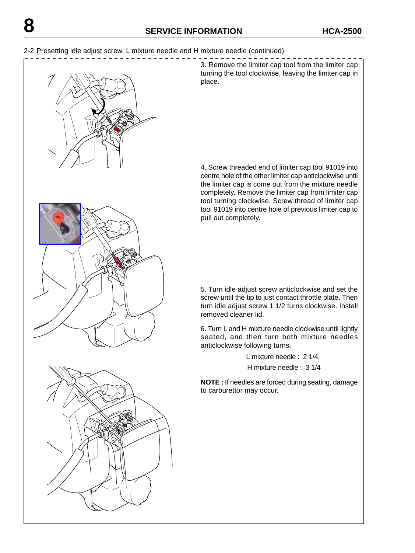

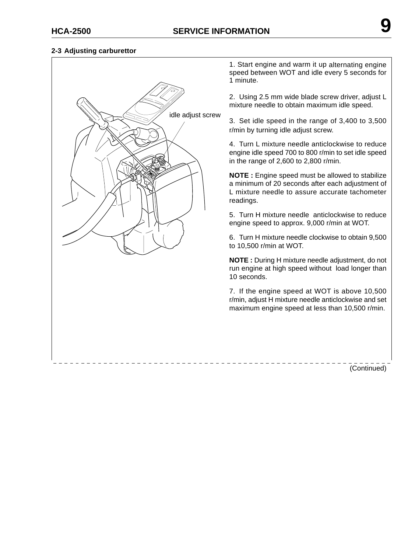\_\_\_\_\_\_\_\_\_\_\_\_\_\_\_\_\_\_\_

#### **2-3 Adjusting carburettor**



1. Start engine and warm it up alternating engine speed between WOT and idle every 5 seconds for 1 minute.

2. Using 2.5 mm wide blade screw driver, adjust L mixture needle to obtain maximum idle speed.

3. Set idle speed in the range of 3,400 to 3,500 r/min by turning idle adjust screw.

4. Turn L mixture needle anticlockwise to reduce engine idle speed 700 to 800 r/min to set idle speed in the range of 2,600 to 2,800 r/min.

**NOTE :** Engine speed must be allowed to stabilize a minimum of 20 seconds after each adjustment of L mixture needle to assure accurate tachometer readings.

5. Turn H mixture needle anticlockwise to reduce engine speed to approx. 9,000 r/min at WOT.

6. Turn H mixture needle clockwise to obtain 9,500 to 10,500 r/min at WOT.

**NOTE :** During H mixture needle adjustment, do not run engine at high speed without load longer than 10 seconds.

7. If the engine speed at WOT is above 10,500 r/min, adjust H mixture needle anticlockwise and set maximum engine speed at less than 10,500 r/min.

(Continued)